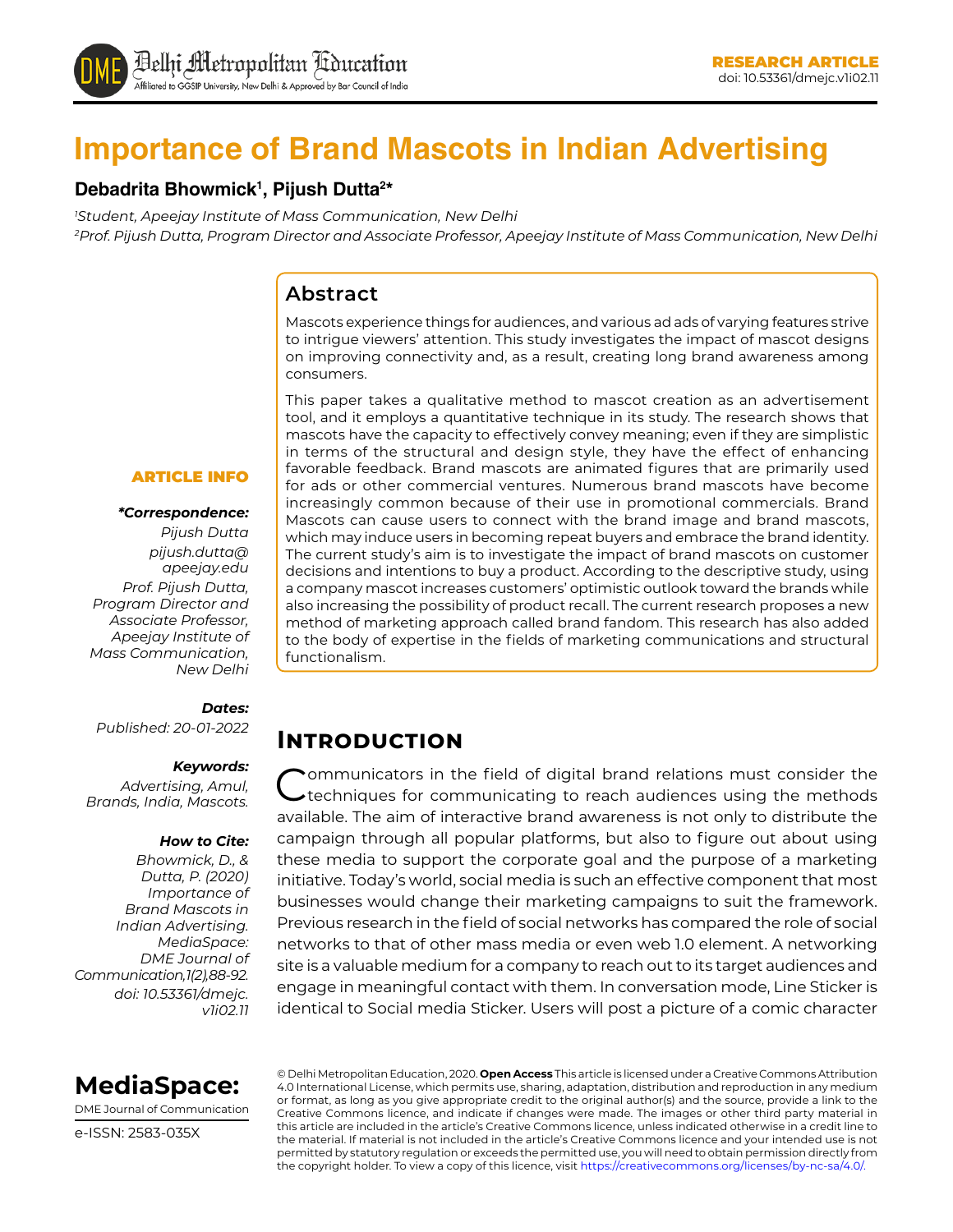

# **Importance of Brand Mascots in Indian Advertising**

#### **Debadrita Bhowmick1 , Pijush Dutta2 \***

*1 Student, Apeejay Institute of Mass Communication, New Delhi 2 Prof. Pijush Dutta, Program Director and Associate Professor, Apeejay Institute of Mass Communication, New Delhi*

#### **Abstract**

Mascots experience things for audiences, and various ad ads of varying features strive to intrigue viewers' attention. This study investigates the impact of mascot designs on improving connectivity and, as a result, creating long brand awareness among consumers.

This paper takes a qualitative method to mascot creation as an advertisement tool, and it employs a quantitative technique in its study. The research shows that mascots have the capacity to effectively convey meaning; even if they are simplistic in terms of the structural and design style, they have the effect of enhancing favorable feedback. Brand mascots are animated figures that are primarily used for ads or other commercial ventures. Numerous brand mascots have become increasingly common because of their use in promotional commercials. Brand Mascots can cause users to connect with the brand image and brand mascots, which may induce users in becoming repeat buyers and embrace the brand identity. The current study's aim is to investigate the impact of brand mascots on customer decisions and intentions to buy a product. According to the descriptive study, using a company mascot increases customers' optimistic outlook toward the brands while also increasing the possibility of product recall. The current research proposes a new method of marketing approach called brand fandom. This research has also added to the body of expertise in the fields of marketing communications and structural functionalism.

#### ARTICLE INFO

#### *\*Correspondence:*

*Pijush Dutta pijush.dutta@ apeejay.edu Prof. Pijush Dutta, Program Director and Associate Professor, Apeejay Institute of Mass Communication, New Delhi*

#### *Dates:*

*Published: 20-01-2022*

#### *Keywords:*

*Advertising, Amul, Brands, India, Mascots.*

#### *How to Cite:*

*Bhowmick, D., & Dutta, P. (2020) Importance of Brand Mascots in Indian Advertising. MediaSpace: DME Journal of Communication, 1(2), 88-92. doi: 10.53361/dmejc. v1i02.11* **Introduction** 

ommunicators in the field of digital brand relations must consider the techniques for communicating to reach audiences using the methods available. The aim of interactive brand awareness is not only to distribute the campaign through all popular platforms, but also to figure out about using these media to support the corporate goal and the purpose of a marketing initiative. Today's world, social media is such an effective component that most businesses would change their marketing campaigns to suit the framework. Previous research in the field of social networks has compared the role of social networks to that of other mass media or even web 1.0 element. A networking site is a valuable medium for a company to reach out to its target audiences and engage in meaningful contact with them. In conversation mode, Line Sticker is identical to Social media Sticker. Users will post a picture of a comic character



DME Journal of Communication

e-ISSN: 2583-035X

© Delhi Metropolitan Education, 2020. **Open Access** This article is licensed under a Creative Commons Attribution 4.0 International License, which permits use, sharing, adaptation, distribution and reproduction in any medium or format, as long as you give appropriate credit to the original author(s) and the source, provide a link to the Creative Commons licence, and indicate if changes were made. The images or other third party material in this article are included in the article's Creative Commons licence, unless indicated otherwise in a credit line to the material. If material is not included in the article's Creative Commons licence and your intended use is not permitted by statutory regulation or exceeds the permitted use, you will need to obtain permission directly from the copyright holder. To view a copy of this licence, visit https://creativecommons.org/licenses/by-nc-sa/4.0/.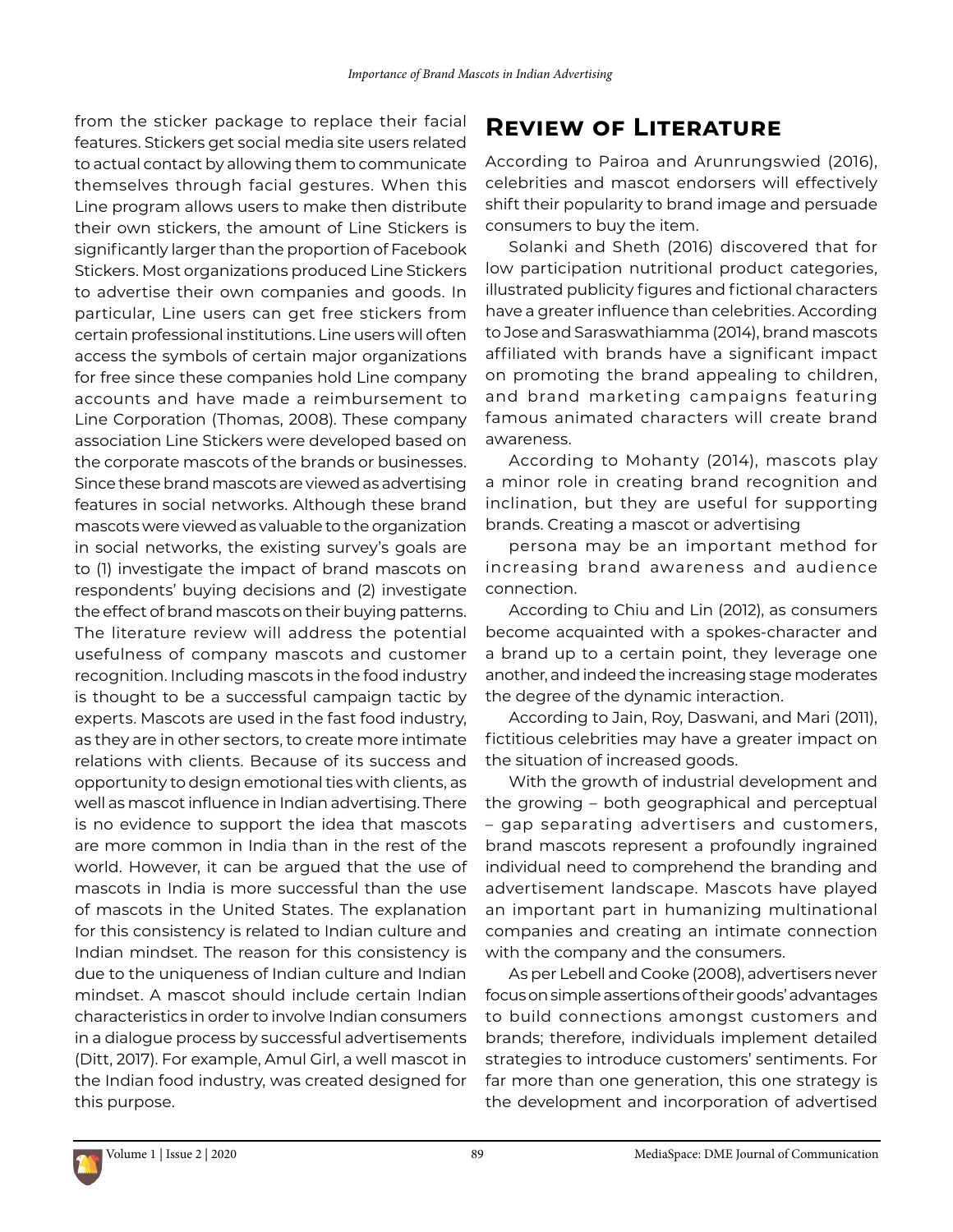from the sticker package to replace their facial features. Stickers get social media site users related to actual contact by allowing them to communicate themselves through facial gestures. When this Line program allows users to make then distribute their own stickers, the amount of Line Stickers is significantly larger than the proportion of Facebook Stickers. Most organizations produced Line Stickers to advertise their own companies and goods. In particular, Line users can get free stickers from certain professional institutions. Line users will often access the symbols of certain major organizations for free since these companies hold Line company accounts and have made a reimbursement to Line Corporation (Thomas, 2008). These company association Line Stickers were developed based on the corporate mascots of the brands or businesses. Since these brand mascots are viewed as advertising features in social networks. Although these brand mascots were viewed as valuable to the organization in social networks, the existing survey's goals are to (1) investigate the impact of brand mascots on respondents' buying decisions and (2) investigate the effect of brand mascots on their buying patterns. The literature review will address the potential usefulness of company mascots and customer recognition. Including mascots in the food industry is thought to be a successful campaign tactic by experts. Mascots are used in the fast food industry, as they are in other sectors, to create more intimate relations with clients. Because of its success and opportunity to design emotional ties with clients, as well as mascot influence in Indian advertising. There is no evidence to support the idea that mascots are more common in India than in the rest of the world. However, it can be argued that the use of mascots in India is more successful than the use of mascots in the United States. The explanation for this consistency is related to Indian culture and Indian mindset. The reason for this consistency is due to the uniqueness of Indian culture and Indian mindset. A mascot should include certain Indian characteristics in order to involve Indian consumers in a dialogue process by successful advertisements (Ditt, 2017). For example, Amul Girl, a well mascot in the Indian food industry, was created designed for this purpose.

### **Review of Literature**

According to Pairoa and Arunrungswied (2016), celebrities and mascot endorsers will effectively shift their popularity to brand image and persuade consumers to buy the item.

Solanki and Sheth (2016) discovered that for low participation nutritional product categories, illustrated publicity figures and fictional characters have a greater influence than celebrities. According to Jose and Saraswathiamma (2014), brand mascots affiliated with brands have a significant impact on promoting the brand appealing to children, and brand marketing campaigns featuring famous animated characters will create brand awareness.

According to Mohanty (2014), mascots play a minor role in creating brand recognition and inclination, but they are useful for supporting brands. Creating a mascot or advertising

persona may be an important method for increasing brand awareness and audience connection.

According to Chiu and Lin (2012), as consumers become acquainted with a spokes-character and a brand up to a certain point, they leverage one another, and indeed the increasing stage moderates the degree of the dynamic interaction.

According to Jain, Roy, Daswani, and Mari (2011), fictitious celebrities may have a greater impact on the situation of increased goods.

With the growth of industrial development and the growing – both geographical and perceptual – gap separating advertisers and customers, brand mascots represent a profoundly ingrained individual need to comprehend the branding and advertisement landscape. Mascots have played an important part in humanizing multinational companies and creating an intimate connection with the company and the consumers.

As per Lebell and Cooke (2008), advertisers never focus on simple assertions of their goods' advantages to build connections amongst customers and brands; therefore, individuals implement detailed strategies to introduce customers' sentiments. For far more than one generation, this one strategy is the development and incorporation of advertised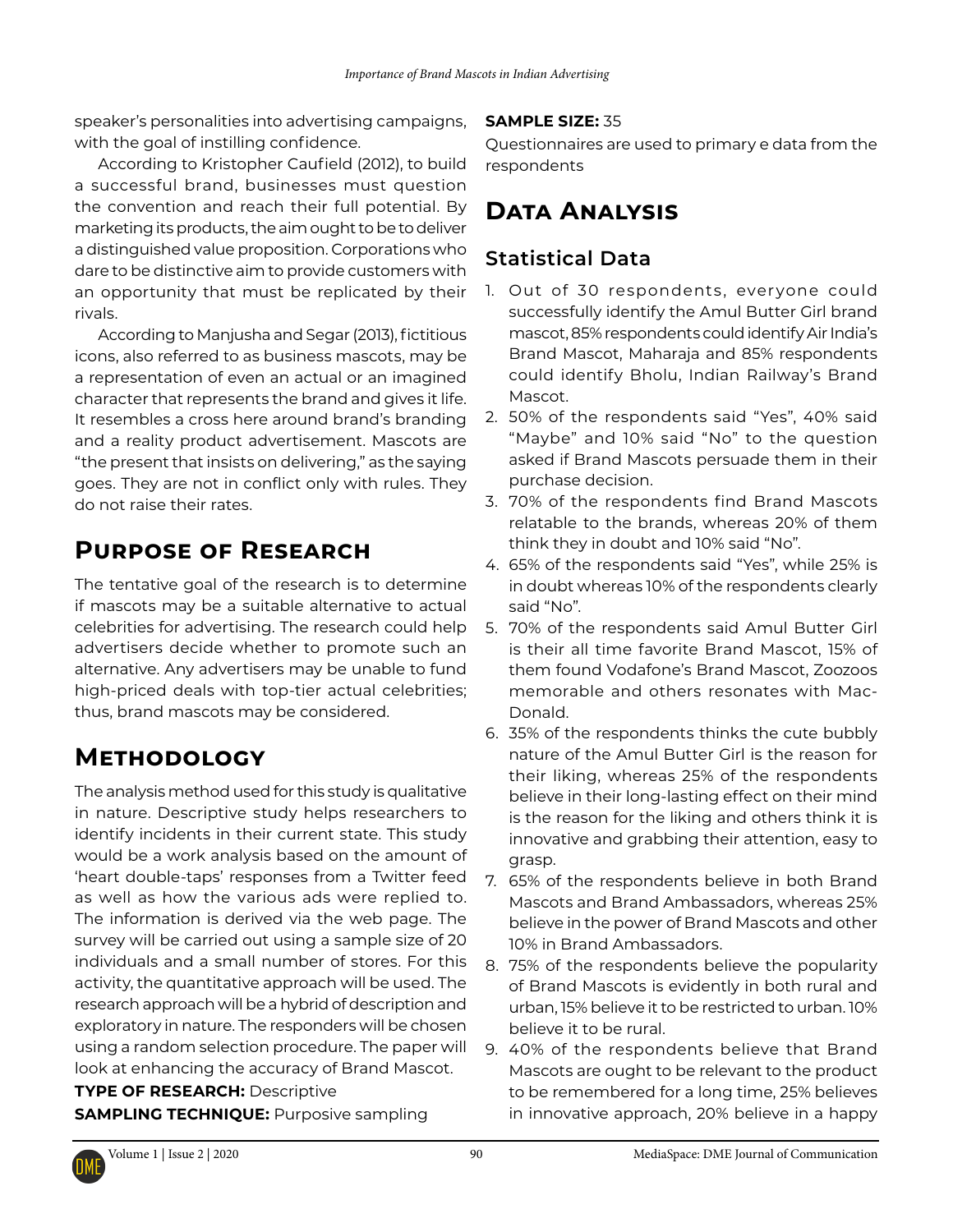speaker's personalities into advertising campaigns, with the goal of instilling confidence.

According to Kristopher Caufield (2012), to build a successful brand, businesses must question the convention and reach their full potential. By marketing its products, the aim ought to be to deliver a distinguished value proposition. Corporations who dare to be distinctive aim to provide customers with an opportunity that must be replicated by their rivals.

According to Manjusha and Segar (2013), fictitious icons, also referred to as business mascots, may be a representation of even an actual or an imagined character that represents the brand and gives it life. It resembles a cross here around brand's branding and a reality product advertisement. Mascots are "the present that insists on delivering," as the saying goes. They are not in conflict only with rules. They do not raise their rates.

### **Purpose of Research**

The tentative goal of the research is to determine if mascots may be a suitable alternative to actual celebrities for advertising. The research could help advertisers decide whether to promote such an alternative. Any advertisers may be unable to fund high-priced deals with top-tier actual celebrities; thus, brand mascots may be considered.

### **Methodology**

The analysis method used for this study is qualitative in nature. Descriptive study helps researchers to identify incidents in their current state. This study would be a work analysis based on the amount of 'heart double-taps' responses from a Twitter feed as well as how the various ads were replied to. The information is derived via the web page. The survey will be carried out using a sample size of 20 individuals and a small number of stores. For this activity, the quantitative approach will be used. The research approach will be a hybrid of description and exploratory in nature. The responders will be chosen using a random selection procedure. The paper will look at enhancing the accuracy of Brand Mascot.

**TYPE OF RESEARCH:** Descriptive **SAMPLING TECHNIQUE:** Purposive sampling

#### **SAMPLE SIZE:** 35

Questionnaires are used to primary e data from the respondents

## **Data Analysis**

### **Statistical Data**

- 1. Out of 30 respondents, everyone could successfully identify the Amul Butter Girl brand mascot, 85% respondents could identify Air India's Brand Mascot, Maharaja and 85% respondents could identify Bholu, Indian Railway's Brand Mascot.
- 2. 50% of the respondents said "Yes", 40% said "Maybe" and 10% said "No" to the question asked if Brand Mascots persuade them in their purchase decision.
- 3. 70% of the respondents find Brand Mascots relatable to the brands, whereas 20% of them think they in doubt and 10% said "No".
- 4. 65% of the respondents said "Yes", while 25% is in doubt whereas 10% of the respondents clearly said "No".
- 5. 70% of the respondents said Amul Butter Girl is their all time favorite Brand Mascot, 15% of them found Vodafone's Brand Mascot, Zoozoos memorable and others resonates with Mac-Donald.
- 6. 35% of the respondents thinks the cute bubbly nature of the Amul Butter Girl is the reason for their liking, whereas 25% of the respondents believe in their long-lasting effect on their mind is the reason for the liking and others think it is innovative and grabbing their attention, easy to grasp.
- 7. 65% of the respondents believe in both Brand Mascots and Brand Ambassadors, whereas 25% believe in the power of Brand Mascots and other 10% in Brand Ambassadors.
- 8. 75% of the respondents believe the popularity of Brand Mascots is evidently in both rural and urban, 15% believe it to be restricted to urban. 10% believe it to be rural.
- 9. 40% of the respondents believe that Brand Mascots are ought to be relevant to the product to be remembered for a long time, 25% believes in innovative approach, 20% believe in a happy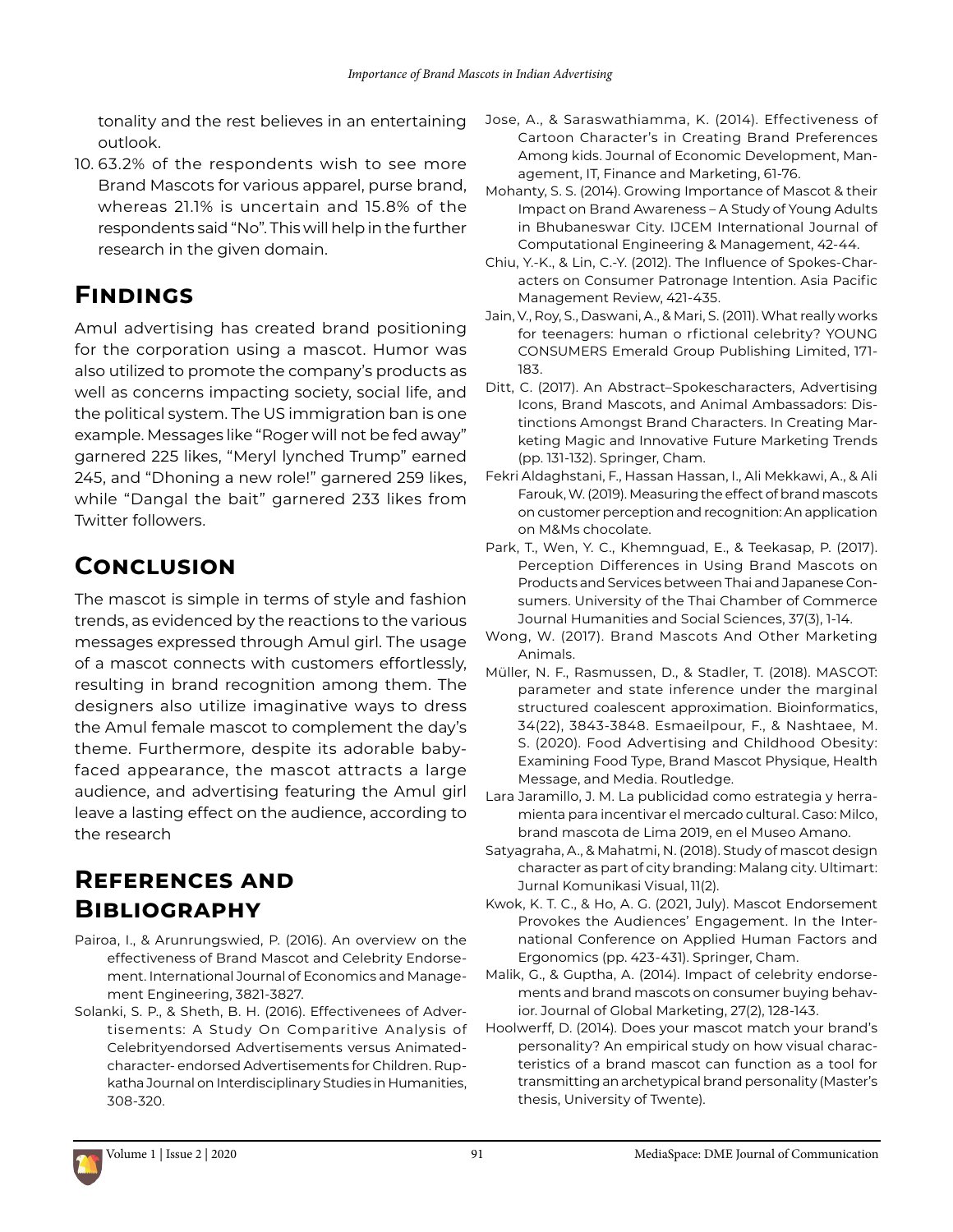tonality and the rest believes in an entertaining outlook.

10. 63.2% of the respondents wish to see more Brand Mascots for various apparel, purse brand, whereas 21.1% is uncertain and 15.8% of the respondents said "No". This will help in the further research in the given domain.

## **Findings**

Amul advertising has created brand positioning for the corporation using a mascot. Humor was also utilized to promote the company's products as well as concerns impacting society, social life, and the political system. The US immigration ban is one example. Messages like "Roger will not be fed away" garnered 225 likes, "Meryl lynched Trump" earned 245, and "Dhoning a new role!" garnered 259 likes, while "Dangal the bait" garnered 233 likes from Twitter followers.

## **Conclusion**

The mascot is simple in terms of style and fashion trends, as evidenced by the reactions to the various messages expressed through Amul girl. The usage of a mascot connects with customers effortlessly, resulting in brand recognition among them. The designers also utilize imaginative ways to dress the Amul female mascot to complement the day's theme. Furthermore, despite its adorable babyfaced appearance, the mascot attracts a large audience, and advertising featuring the Amul girl leave a lasting effect on the audience, according to the research

### **References and Bibliography**

- Pairoa, I., & Arunrungswied, P. (2016). An overview on the effectiveness of Brand Mascot and Celebrity Endorsement. International Journal of Economics and Management Engineering, 3821-3827.
- Solanki, S. P., & Sheth, B. H. (2016). Effectivenees of Advertisements: A Study On Comparitive Analysis of Celebrityendorsed Advertisements versus Animatedcharacter- endorsed Advertisements for Children. Rupkatha Journal on Interdisciplinary Studies in Humanities, 308-320.
- Jose, A., & Saraswathiamma, K. (2014). Effectiveness of Cartoon Character's in Creating Brand Preferences Among kids. Journal of Economic Development, Management, IT, Finance and Marketing, 61-76.
- Mohanty, S. S. (2014). Growing Importance of Mascot & their Impact on Brand Awareness – A Study of Young Adults in Bhubaneswar City. IJCEM International Journal of Computational Engineering & Management, 42-44.
- Chiu, Y.-K., & Lin, C.-Y. (2012). The Influence of Spokes-Characters on Consumer Patronage Intention. Asia Pacific Management Review, 421-435.
- Jain, V., Roy, S., Daswani, A., & Mari, S. (2011). What really works for teenagers: human o rfictional celebrity? YOUNG CONSUMERS Emerald Group Publishing Limited, 171- 183.
- Ditt, C. (2017). An Abstract–Spokescharacters, Advertising Icons, Brand Mascots, and Animal Ambassadors: Distinctions Amongst Brand Characters. In Creating Marketing Magic and Innovative Future Marketing Trends (pp. 131-132). Springer, Cham.
- Fekri Aldaghstani, F., Hassan Hassan, I., Ali Mekkawi, A., & Ali Farouk, W. (2019). Measuring the effect of brand mascots on customer perception and recognition: An application on M&Ms chocolate.
- Park, T., Wen, Y. C., Khemnguad, E., & Teekasap, P. (2017). Perception Differences in Using Brand Mascots on Products and Services between Thai and Japanese Consumers. University of the Thai Chamber of Commerce Journal Humanities and Social Sciences, 37(3), 1-14.
- Wong, W. (2017). Brand Mascots And Other Marketing Animals.
- Müller, N. F., Rasmussen, D., & Stadler, T. (2018). MASCOT: parameter and state inference under the marginal structured coalescent approximation. Bioinformatics, 34(22), 3843-3848. Esmaeilpour, F., & Nashtaee, M. S. (2020). Food Advertising and Childhood Obesity: Examining Food Type, Brand Mascot Physique, Health Message, and Media. Routledge.
- Lara Jaramillo, J. M. La publicidad como estrategia y herramienta para incentivar el mercado cultural. Caso: Milco, brand mascota de Lima 2019, en el Museo Amano.
- Satyagraha, A., & Mahatmi, N. (2018). Study of mascot design character as part of city branding: Malang city. Ultimart: Jurnal Komunikasi Visual, 11(2).
- Kwok, K. T. C., & Ho, A. G. (2021, July). Mascot Endorsement Provokes the Audiences' Engagement. In the International Conference on Applied Human Factors and Ergonomics (pp. 423-431). Springer, Cham.
- Malik, G., & Guptha, A. (2014). Impact of celebrity endorsements and brand mascots on consumer buying behavior. Journal of Global Marketing, 27(2), 128-143.
- Hoolwerff, D. (2014). Does your mascot match your brand's personality? An empirical study on how visual characteristics of a brand mascot can function as a tool for transmitting an archetypical brand personality (Master's thesis, University of Twente).